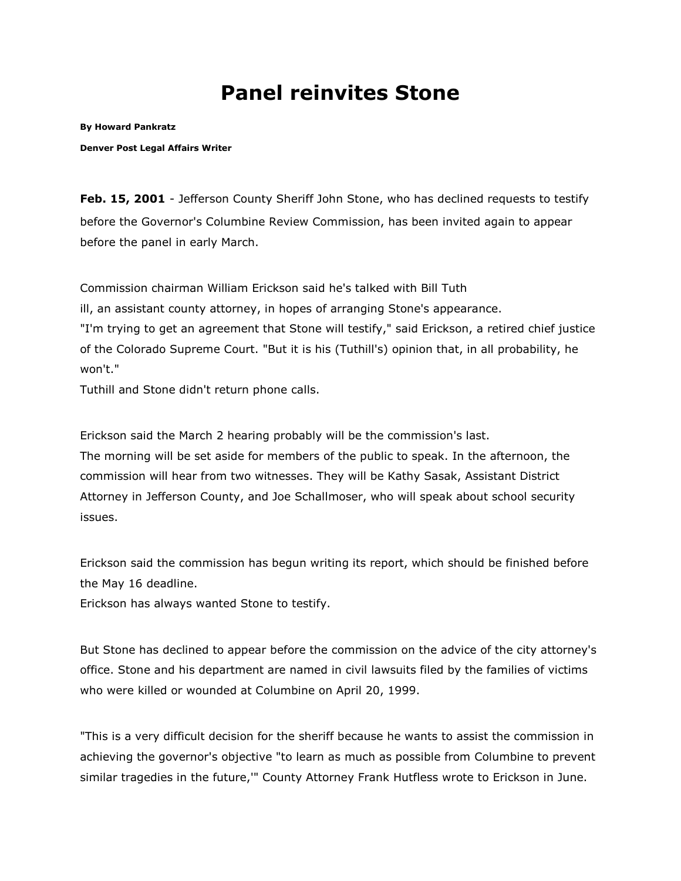## **Panel reinvites Stone**

**By [Howard Pankratz](mailto:hpankratz@denverpost.com)**

**Denver Post Legal Affairs Writer**

**Feb. 15, 2001** - Jefferson County Sheriff John Stone, who has declined requests to testify before the Governor's Columbine Review Commission, has been invited again to appear before the panel in early March.

Commission chairman William Erickson said he's talked with Bill Tuth

ill, an assistant county attorney, in hopes of arranging Stone's appearance.

"I'm trying to get an agreement that Stone will testify," said Erickson, a retired chief justice of the Colorado Supreme Court. "But it is his (Tuthill's) opinion that, in all probability, he won't."

Tuthill and Stone didn't return phone calls.

Erickson said the March 2 hearing probably will be the commission's last. The morning will be set aside for members of the public to speak. In the afternoon, the commission will hear from two witnesses. They will be Kathy Sasak, Assistant District Attorney in Jefferson County, and Joe Schallmoser, who will speak about school security issues.

Erickson said the commission has begun writing its report, which should be finished before the May 16 deadline.

Erickson has always wanted Stone to testify.

But Stone has declined to appear before the commission on the advice of the city attorney's office. Stone and his department are named in civil lawsuits filed by the families of victims who were killed or wounded at Columbine on April 20, 1999.

"This is a very difficult decision for the sheriff because he wants to assist the commission in achieving the governor's objective "to learn as much as possible from Columbine to prevent similar tragedies in the future,'" County Attorney Frank Hutfless wrote to Erickson in June.